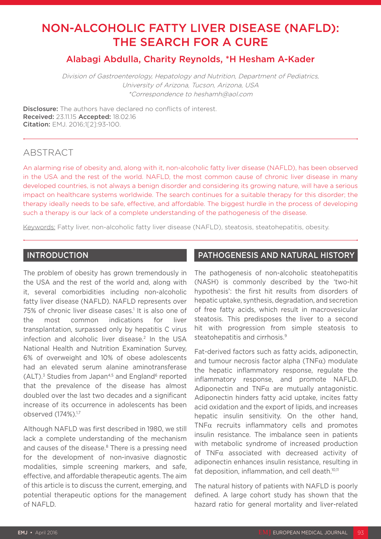# NON-ALCOHOLIC FATTY LIVER DISEASE (NAFLD): THE SEARCH FOR A CURE

# Alabagi Abdulla, Charity Reynolds, \*H Hesham A-Kader

Division of Gastroenterology, Hepatology and Nutrition, Department of Pediatrics, University of Arizona, Tucson, Arizona, USA \*Correspondence to heshamh@aol.com

**Disclosure:** The authors have declared no conflicts of interest. Received: 23.11.15 Accepted: 18.02.16 Citation: EMJ. 2016;1[2]:93-100.

## **ABSTRACT**

An alarming rise of obesity and, along with it, non-alcoholic fatty liver disease (NAFLD), has been observed in the USA and the rest of the world. NAFLD, the most common cause of chronic liver disease in many developed countries, is not always a benign disorder and considering its growing nature, will have a serious impact on healthcare systems worldwide. The search continues for a suitable therapy for this disorder; the therapy ideally needs to be safe, effective, and affordable. The biggest hurdle in the process of developing such a therapy is our lack of a complete understanding of the pathogenesis of the disease.

Keywords: Fatty liver, non-alcoholic fatty liver disease (NAFLD), steatosis, steatohepatitis, obesity.

### INTRODUCTION

The problem of obesity has grown tremendously in the USA and the rest of the world and, along with it, several comorbidities including non-alcoholic fatty liver disease (NAFLD). NAFLD represents over 75% of chronic liver disease cases.<sup>1</sup> It is also one of the most common indications for liver transplantation, surpassed only by hepatitis C virus infection and alcoholic liver disease.<sup>2</sup> In the USA National Health and Nutrition Examination Survey, 6% of overweight and 10% of obese adolescents had an elevated serum alanine aminotransferase  $(ALT).$ <sup>3</sup> Studies from Japan<sup>4,5</sup> and England<sup>6</sup> reported that the prevalence of the disease has almost doubled over the last two decades and a significant increase of its occurrence in adolescents has been observed (174%).<sup>1,7</sup>

Although NAFLD was first described in 1980, we still lack a complete understanding of the mechanism and causes of the disease.<sup>8</sup> There is a pressing need for the development of non-invasive diagnostic modalities, simple screening markers, and safe, effective, and affordable therapeutic agents. The aim of this article is to discuss the current, emerging, and potential therapeutic options for the management of NAFLD.

#### PATHOGENESIS AND NATURAL HISTORY

The pathogenesis of non-alcoholic steatohepatitis (NASH) is commonly described by the 'two-hit hypothesis': the first hit results from disorders of hepatic uptake, synthesis, degradation, and secretion of free fatty acids, which result in macrovesicular steatosis. This predisposes the liver to a second hit with progression from simple steatosis to steatohepatitis and cirrhosis.<sup>9</sup>

Fat-derived factors such as fatty acids, adiponectin, and tumour necrosis factor alpha (TNF $\alpha$ ) modulate the hepatic inflammatory response, regulate the inflammatory response, and promote NAFLD. Adiponectin and  $TNF\alpha$  are mutually antagonistic. Adiponectin hinders fatty acid uptake, incites fatty acid oxidation and the export of lipids, and increases hepatic insulin sensitivity. On the other hand, TNFα recruits inflammatory cells and promotes insulin resistance. The imbalance seen in patients with metabolic syndrome of increased production of TNFα associated with decreased activity of adiponectin enhances insulin resistance, resulting in fat deposition, inflammation, and cell death.<sup>10,11</sup>

The natural history of patients with NAFLD is poorly defined. A large cohort study has shown that the hazard ratio for general mortality and liver-related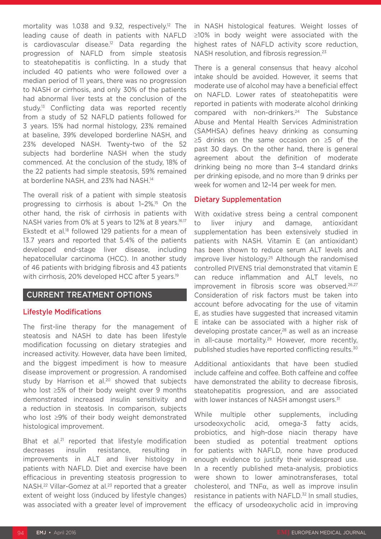mortality was 1.038 and 9.32, respectively.<sup>12</sup> The leading cause of death in patients with NAFLD is cardiovascular disease.<sup>12</sup> Data regarding the progression of NAFLD from simple steatosis to steatohepatitis is conflicting. In a study that included 40 patients who were followed over a median period of 11 years, there was no progression to NASH or cirrhosis, and only 30% of the patients had abnormal liver tests at the conclusion of the study.13 Conflicting data was reported recently from a study of 52 NAFLD patients followed for 3 years. 15% had normal histology, 23% remained at baseline, 39% developed borderline NASH, and 23% developed NASH. Twenty-two of the 52 subjects had borderline NASH when the study commenced. At the conclusion of the study, 18% of the 22 patients had simple steatosis, 59% remained at borderline NASH, and 23% had NASH.14

The overall risk of a patient with simple steatosis progressing to cirrhosis is about 1–2%.15 On the other hand, the risk of cirrhosis in patients with NASH varies from 0% at 5 years to 12% at 8 years.<sup>16,17</sup> Ekstedt et al.<sup>18</sup> followed 129 patients for a mean of 13.7 years and reported that 5.4% of the patients developed end-stage liver disease, including hepatocellular carcinoma (HCC). In another study of 46 patients with bridging fibrosis and 43 patients with cirrhosis, 20% developed HCC after 5 years.<sup>19</sup>

### CURRENT TREATMENT OPTIONS

#### Lifestyle Modifications

The first-line therapy for the management of steatosis and NASH to date has been lifestyle modification focussing on dietary strategies and increased activity. However, data have been limited, and the biggest impediment is how to measure disease improvement or progression. A randomised study by Harrison et al.<sup>20</sup> showed that subjects who lost ≥5% of their body weight over 9 months demonstrated increased insulin sensitivity and a reduction in steatosis. In comparison, subjects who lost ≥9% of their body weight demonstrated histological improvement.

Bhat et al.<sup>21</sup> reported that lifestyle modification decreases insulin resistance, resulting in improvements in ALT and liver histology in patients with NAFLD. Diet and exercise have been efficacious in preventing steatosis progression to NASH.<sup>22</sup> Villar-Gomez at al.<sup>23</sup> reported that a greater extent of weight loss (induced by lifestyle changes) was associated with a greater level of improvement

in NASH histological features. Weight losses of ≥10% in body weight were associated with the highest rates of NAFLD activity score reduction, NASH resolution, and fibrosis regression.<sup>23</sup>

There is a general consensus that heavy alcohol intake should be avoided. However, it seems that moderate use of alcohol may have a beneficial effect on NAFLD. Lower rates of steatohepatitis were reported in patients with moderate alcohol drinking compared with non-drinkers.<sup>24</sup> The Substance Abuse and Mental Health Services Administration (SAMHSA) defines heavy drinking as consuming ≥5 drinks on the same occasion on ≥5 of the past 30 days. On the other hand, there is general agreement about the definition of moderate drinking being no more than 3–4 standard drinks per drinking episode, and no more than 9 drinks per week for women and 12–14 per week for men.

#### Dietary Supplementation

With oxidative stress being a central component to liver injury and damage, antioxidant supplementation has been extensively studied in patients with NASH. Vitamin E (an antioxidant) has been shown to reduce serum ALT levels and improve liver histology.<sup>25</sup> Although the randomised controlled PIVENS trial demonstrated that vitamin E can reduce inflammation and ALT levels, no improvement in fibrosis score was observed.<sup>26,27</sup> Consideration of risk factors must be taken into account before advocating for the use of vitamin E, as studies have suggested that increased vitamin E intake can be associated with a higher risk of developing prostate cancer,<sup>28</sup> as well as an increase in all-cause mortality.<sup>29</sup> However, more recently, published studies have reported conflicting results.30

Additional antioxidants that have been studied include caffeine and coffee. Both caffeine and coffee have demonstrated the ability to decrease fibrosis, steatohepatitis progression, and are associated with lower instances of NASH amongst users.<sup>31</sup>

While multiple other supplements, including ursodeoxycholic acid, omega-3 fatty acids, probiotics, and high-dose niacin therapy have been studied as potential treatment options for patients with NAFLD, none have produced enough evidence to justify their widespread use. In a recently published meta-analysis, probiotics were shown to lower aminotransferases, total cholesterol, and TNF $\alpha$ , as well as improve insulin resistance in patients with NAFLD.32 In small studies, the efficacy of ursodeoxycholic acid in improving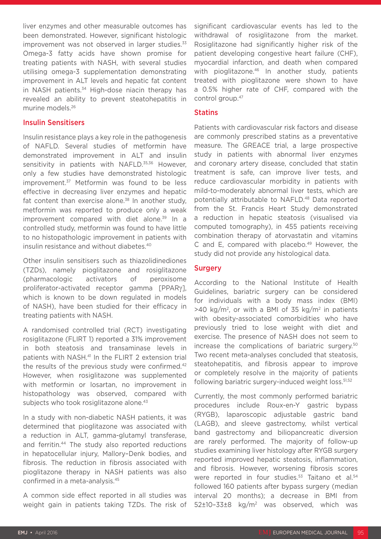liver enzymes and other measurable outcomes has been demonstrated. However, significant histologic improvement was not observed in larger studies. $33$ Omega-3 fatty acids have shown promise for treating patients with NASH, with several studies utilising omega-3 supplementation demonstrating improvement in ALT levels and hepatic fat content in NASH patients.<sup>34</sup> High-dose niacin therapy has revealed an ability to prevent steatohepatitis in murine models.26

#### Insulin Sensitisers

Insulin resistance plays a key role in the pathogenesis of NAFLD. Several studies of metformin have demonstrated improvement in ALT and insulin sensitivity in patients with NAFLD.<sup>35,36</sup> However, only a few studies have demonstrated histologic improvement.<sup>37</sup> Metformin was found to be less effective in decreasing liver enzymes and hepatic fat content than exercise alone. $38$  In another study, metformin was reported to produce only a weak improvement compared with diet alone.<sup>39</sup> In a controlled study, metformin was found to have little to no histopathologic improvement in patients with insulin resistance and without diabetes.<sup>40</sup>

Other insulin sensitisers such as thiazolidinediones (TZDs), namely pioglitazone and rosiglitazone (pharmacologic activators of peroxisome proliferator-activated receptor gamma [PPARγ], which is known to be down regulated in models of NASH), have been studied for their efficacy in treating patients with NASH.

A randomised controlled trial (RCT) investigating rosiglitazone (FLIRT 1) reported a 31% improvement in both steatosis and transaminase levels in patients with NASH.41 In the FLIRT 2 extension trial the results of the previous study were confirmed.<sup>42</sup> However, when rosiglitazone was supplemented with metformin or losartan, no improvement in histopathology was observed, compared with subjects who took rosiglitazone alone.<sup>43</sup>

In a study with non-diabetic NASH patients, it was determined that pioglitazone was associated with a reduction in ALT, gamma-glutamyl transferase, and ferritin.44 The study also reported reductions in hepatocellular injury, Mallory–Denk bodies, and fibrosis. The reduction in fibrosis associated with pioglitazone therapy in NASH patients was also confirmed in a meta-analysis.45

A common side effect reported in all studies was weight gain in patients taking TZDs. The risk of significant cardiovascular events has led to the withdrawal of rosiglitazone from the market. Rosiglitazone had significantly higher risk of the patient developing congestive heart failure (CHF), myocardial infarction, and death when compared with pioglitazone.<sup>46</sup> In another study, patients treated with pioglitazone were shown to have a 0.5% higher rate of CHF, compared with the control group.47

#### **Statins**

Patients with cardiovascular risk factors and disease are commonly prescribed statins as a preventative measure. The GREACE trial, a large prospective study in patients with abnormal liver enzymes and coronary artery disease, concluded that statin treatment is safe, can improve liver tests, and reduce cardiovascular morbidity in patients with mild-to-moderately abnormal liver tests, which are potentially attributable to NAFLD.48 Data reported from the St. Francis Heart Study demonstrated a reduction in hepatic steatosis (visualised via computed tomography), in 455 patients receiving combination therapy of atorvastatin and vitamins C and E, compared with placebo.<sup>49</sup> However, the study did not provide any histological data.

#### **Surgery**

According to the National Institute of Health Guidelines, bariatric surgery can be considered for individuals with a body mass index (BMI)  $>40$  kg/m<sup>2</sup>, or with a BMI of 35 kg/m<sup>2</sup> in patients with obesity-associated comorbidities who have previously tried to lose weight with diet and exercise. The presence of NASH does not seem to increase the complications of bariatric surgery.50 Two recent meta-analyses concluded that steatosis, steatohepatitis, and fibrosis appear to improve or completely resolve in the majority of patients following bariatric surgery-induced weight loss.<sup>51,52</sup>

Currently, the most commonly performed bariatric procedures include Roux-en-Y gastric bypass (RYGB), laparoscopic adjustable gastric band (LAGB), and sleeve gastrectomy, whilst vertical band gastrectomy and biliopancreatic diversion are rarely performed. The majority of follow-up studies examining liver histology after RYGB surgery reported improved hepatic steatosis, inflammation, and fibrosis. However, worsening fibrosis scores were reported in four studies.<sup>53</sup> Taitano et al.<sup>54</sup> followed 160 patients after bypass surgery (median interval 20 months); a decrease in BMI from 52±10–33±8 kg/m2 was observed, which was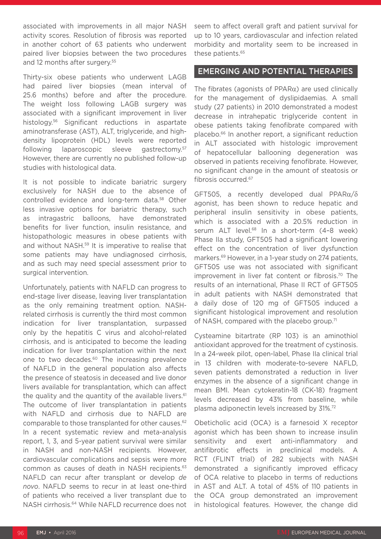associated with improvements in all major NASH activity scores. Resolution of fibrosis was reported in another cohort of 63 patients who underwent paired liver biopsies between the two procedures and 12 months after surgery.<sup>55</sup>

Thirty-six obese patients who underwent LAGB had paired liver biopsies (mean interval of 25.6 months) before and after the procedure. The weight loss following LAGB surgery was associated with a significant improvement in liver histology.56 Significant reductions in aspartate aminotransferase (AST), ALT, triglyceride, and highdensity lipoprotein (HDL) levels were reported following laparoscopic sleeve gastrectomy.57 However, there are currently no published follow-up studies with histological data.

It is not possible to indicate bariatric surgery exclusively for NASH due to the absence of controlled evidence and long-term data.58 Other less invasive options for bariatric therapy, such as intragastric balloons, have demonstrated benefits for liver function, insulin resistance, and histopathologic measures in obese patients with and without NASH.59 It is imperative to realise that some patients may have undiagnosed cirrhosis, and as such may need special assessment prior to surgical intervention.

Unfortunately, patients with NAFLD can progress to end-stage liver disease, leaving liver transplantation as the only remaining treatment option. NASHrelated cirrhosis is currently the third most common indication for liver transplantation, surpassed only by the hepatitis C virus and alcohol-related cirrhosis, and is anticipated to become the leading indication for liver transplantation within the next one to two decades.<sup>60</sup> The increasing prevalence of NAFLD in the general population also affects the presence of steatosis in deceased and live donor livers available for transplantation, which can affect the quality and the quantity of the available livers. $61$ The outcome of liver transplantation in patients with NAFLD and cirrhosis due to NAFLD are comparable to those transplanted for other causes.<sup>62</sup> In a recent systematic review and meta-analysis report, 1, 3, and 5-year patient survival were similar in NASH and non-NASH recipients. However, cardiovascular complications and sepsis were more common as causes of death in NASH recipients.<sup>63</sup> NAFLD can recur after transplant or develop *de novo*. NAFLD seems to recur in at least one-third of patients who received a liver transplant due to NASH cirrhosis.64 While NAFLD recurrence does not seem to affect overall graft and patient survival for up to 10 years, cardiovascular and infection related morbidity and mortality seem to be increased in these patients.65

#### EMERGING AND POTENTIAL THERAPIES

The fibrates (agonists of  $PPAR\alpha$ ) are used clinically for the management of dyslipidaemias. A small study (27 patients) in 2010 demonstrated a modest decrease in intrahepatic triglyceride content in obese patients taking fenofibrate compared with placebo.66 In another report, a significant reduction in ALT associated with histologic improvement of hepatocellular ballooning degeneration was observed in patients receiving fenofibrate. However, no significant change in the amount of steatosis or fibrosis occurred.67

GFT505, a recently developed dual PPARα/δ agonist, has been shown to reduce hepatic and peripheral insulin sensitivity in obese patients, which is associated with a 20.5% reduction in serum ALT level.<sup>68</sup> In a short-term (4-8 week) Phase IIa study, GFT505 had a significant lowering effect on the concentration of liver dysfunction markers.69 However, in a 1-year study on 274 patients, GFT505 use was not associated with significant improvement in liver fat content or fibrosis.<sup>70</sup> The results of an international, Phase II RCT of GFT505 in adult patients with NASH demonstrated that a daily dose of 120 mg of GFT505 induced a significant histological improvement and resolution of NASH, compared with the placebo group.<sup>71</sup>

Cysteamine bitartrate (RP 103) is an aminothiol antioxidant approved for the treatment of cystinosis. In a 24-week pilot, open-label, Phase IIa clinical trial in 13 children with moderate-to-severe NAFLD, seven patients demonstrated a reduction in liver enzymes in the absence of a significant change in mean BMI. Mean cytokeratin-18 (CK-18) fragment levels decreased by 43% from baseline, while plasma adiponectin levels increased by 31%.72

Obeticholic acid (OCA) is a farnesoid X receptor agonist which has been shown to increase insulin sensitivity and exert anti-inflammatory and antifibrotic effects in preclinical models. A RCT (FLINT trial) of 282 subjects with NASH demonstrated a significantly improved efficacy of OCA relative to placebo in terms of reductions in AST and ALT. A total of 45% of 110 patients in the OCA group demonstrated an improvement in histological features. However, the change did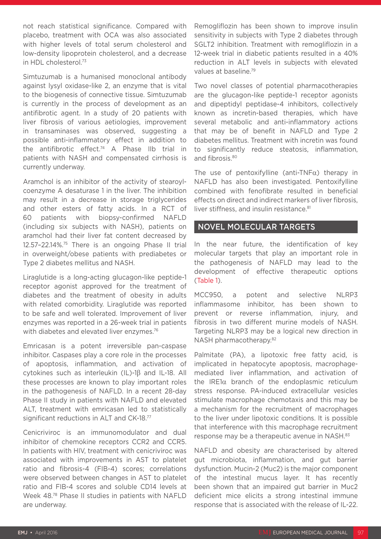not reach statistical significance. Compared with placebo, treatment with OCA was also associated with higher levels of total serum cholesterol and low-density lipoprotein cholesterol, and a decrease in HDL cholesterol.73

Simtuzumab is a humanised monoclonal antibody against lysyl oxidase-like 2, an enzyme that is vital to the biogenesis of connective tissue. Simtuzumab is currently in the process of development as an antifibrotic agent. In a study of 20 patients with liver fibrosis of various aetiologies, improvement in transaminases was observed, suggesting a possible anti-inflammatory effect in addition to the antifibrotic effect.74 A Phase IIb trial in patients with NASH and compensated cirrhosis is currently underway.

Aramchol is an inhibitor of the activity of stearoylcoenzyme A desaturase 1 in the liver. The inhibition may result in a decrease in storage triglycerides and other esters of fatty acids. In a RCT of 60 patients with biopsy-confirmed NAFLD (including six subjects with NASH), patients on aramchol had their liver fat content decreased by 12.57–22.14%.75 There is an ongoing Phase II trial in overweight/obese patients with prediabetes or Type 2 diabetes mellitus and NASH.

Liraglutide is a long-acting glucagon-like peptide-1 receptor agonist approved for the treatment of diabetes and the treatment of obesity in adults with related comorbidity. Liraglutide was reported to be safe and well tolerated. Improvement of liver enzymes was reported in a 26-week trial in patients with diabetes and elevated liver enzymes.<sup>76</sup>

Emricasan is a potent irreversible pan-caspase inhibitor. Caspases play a core role in the processes of apoptosis, inflammation, and activation of cytokines such as interleukin (IL)-1β and IL-18. All these processes are known to play important roles in the pathogenesis of NAFLD. In a recent 28-day Phase II study in patients with NAFLD and elevated ALT, treatment with emricasan led to statistically significant reductions in ALT and CK-18.77

Cenicriviroc is an immunomodulator and dual inhibitor of chemokine receptors CCR2 and CCR5. In patients with HIV, treatment with cenicriviroc was associated with improvements in AST to platelet ratio and fibrosis-4 (FIB-4) scores; correlations were observed between changes in AST to platelet ratio and FIB-4 scores and soluble CD14 levels at Week 48.78 Phase II studies in patients with NAFLD are underway.

Remogliflozin has been shown to improve insulin sensitivity in subjects with Type 2 diabetes through SGLT2 inhibition. Treatment with remogliflozin in a 12-week trial in diabetic patients resulted in a 40% reduction in ALT levels in subjects with elevated values at baseline.79

Two novel classes of potential pharmacotherapies are the glucagon-like peptide-1 receptor agonists and dipeptidyl peptidase-4 inhibitors, collectively known as incretin-based therapies, which have several metabolic and anti-inflammatory actions that may be of benefit in NAFLD and Type 2 diabetes mellitus. Treatment with incretin was found to significantly reduce steatosis, inflammation, and fibrosis.<sup>80</sup>

The use of pentoxifylline (anti-TNF $\alpha$ ) therapy in NAFLD has also been investigated. Pentoxifylline combined with fenofibrate resulted in beneficial effects on direct and indirect markers of liver fibrosis, liver stiffness, and insulin resistance.<sup>81</sup>

### NOVEL MOLECULAR TARGETS

In the near future, the identification of key molecular targets that play an important role in the pathogenesis of NAFLD may lead to the development of effective therapeutic options (Table 1).

MCC950, a potent and selective NLRP3 inflammasome inhibitor, has been shown to prevent or reverse inflammation, injury, and fibrosis in two different murine models of NASH. Targeting NLRP3 may be a logical new direction in NASH pharmacotherapy.<sup>82</sup>

Palmitate (PA), a lipotoxic free fatty acid, is implicated in hepatocyte apoptosis, macrophagemediated liver inflammation, and activation of the IRE1α branch of the endoplasmic reticulum stress response. PA-induced extracellular vesicles stimulate macrophage chemotaxis and this may be a mechanism for the recruitment of macrophages to the liver under lipotoxic conditions. It is possible that interference with this macrophage recruitment response may be a therapeutic avenue in NASH.<sup>83</sup>

NAFLD and obesity are characterised by altered gut microbiota, inflammation, and gut barrier dysfunction. Mucin-2 (Muc2) is the major component of the intestinal mucus layer. It has recently been shown that an impaired gut barrier in Muc2 deficient mice elicits a strong intestinal immune response that is associated with the release of IL-22.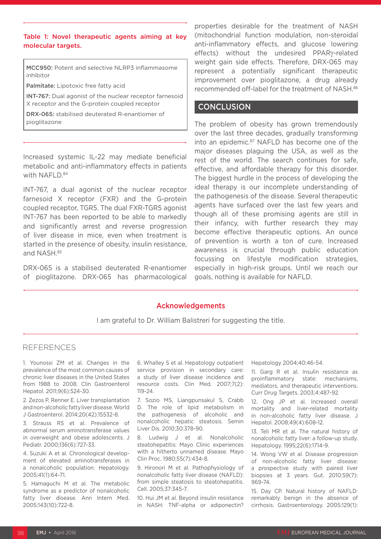Table 1: Novel therapeutic agents aiming at key molecular targets.

MCC950: Potent and selective NLRP3 inflammasome inhibitor

Palmitate: Lipotoxic free fatty acid

INT-767: Dual agonist of the nuclear receptor farnesoid X receptor and the G-protein coupled receptor

DRX-065: stabilised deuterated R-enantiomer of pioglitazone

Increased systemic IL-22 may mediate beneficial metabolic and anti-inflammatory effects in patients with NAFLD.<sup>84</sup>

INT-767, a dual agonist of the nuclear receptor farnesoid X receptor (FXR) and the G-protein coupled receptor, TGR5. The dual FXR-TGR5 agonist INT-767 has been reported to be able to markedly and significantly arrest and reverse progression of liver disease in mice, even when treatment is started in the presence of obesity, insulin resistance, and NASH.<sup>85</sup>

DRX-065 is a stabilised deuterated R-enantiomer of pioglitazone. DRX-065 has pharmacological properties desirable for the treatment of NASH (mitochondrial function modulation, non-steroidal anti-inflammatory effects, and glucose lowering effects) without the undesired PPARγ-related weight gain side effects. Therefore, DRX-065 may represent a potentially significant therapeutic improvement over pioglitazone, a drug already recommended off-label for the treatment of NASH.<sup>86</sup>

### **CONCLUSION**

The problem of obesity has grown tremendously over the last three decades, gradually transforming into an epidemic.87 NAFLD has become one of the major diseases plaguing the USA, as well as the rest of the world. The search continues for safe, effective, and affordable therapy for this disorder. The biggest hurdle in the process of developing the ideal therapy is our incomplete understanding of the pathogenesis of the disease. Several therapeutic agents have surfaced over the last few years and though all of these promising agents are still in their infancy, with further research they may become effective therapeutic options. An ounce of prevention is worth a ton of cure. Increased awareness is crucial through public education focussing on lifestyle modification strategies, especially in high-risk groups. Until we reach our goals, nothing is available for NAFLD.

#### Acknowledgements

I am grateful to Dr. William Balistreri for suggesting the title.

#### REFERENCES

1. Younossi ZM et al. Changes in the prevalence of the most common causes of chronic liver diseases in the United States from 1988 to 2008. Clin Gastroenterol Hepatol. 2011;9(6):524-30.

2. Zezos P, Renner E. Liver transplantation and non-alcoholic fatty liver disease. World J Gastroenterol. 2014;20(42):15532-8.

3. Strauss RS et al. Prevalence of abnormal serum aminotransferase values in overweight and obese adolescents. J Pediatr. 2000;136(6):727-33.

4. Suzuki A et al. Chronological development of elevated aminotransferases in a nonalcoholic population. Hepatology. 2005;41(1):64-71.

5. Hamaguchi M et al. The metabolic syndrome as a predictor of nonalcoholic fatty liver disease. Ann Intern Med. 2005;143(10):722-8.

6. Whalley S et al. Hepatology outpatient service provision in secondary care: a study of liver disease incidence and resource costs. Clin Med. 2007;7(2): 119-24.

7. Sozio MS, Liangpunsakul S, Crabb D. The role of lipid metabolism in the pathogenesis of alcoholic and nonalcoholic hepatic steatosis. Semin Liver Dis. 2010;30:378-90.

8. Ludwig J et al. Nonalcoholic steatohepatitis: Mayo Clinic experiences with a hitherto unnamed disease. Mayo Clin Proc. 1980;55(7):434-8.

9. Hironori M et al. Pathophysiology of nonalcoholic fatty liver disease (NAFLD): from simple steatosis to steatohepatitis. Cell. 2005;37:345-7.

10. Hui JM et al. Beyond insulin resistance in NASH: TNF-alpha or adiponectin? Hepatology 2004;40:46-54.

11. Garg R et al. Insulin resistance as proinflammatory state: mechanisms, mediators, and therapeutic interventions. Curr Drug Targets. 2003;4:487-92.

12. Ong JP et al. Increased overall mortality and liver-related mortality in non-alcoholic fatty liver disease. J Hepatol. 2008;49(4):608-12.

13. Teli MR et al. The natural history of nonalcoholic fatty liver: a follow-up study. Hepatology. 1995;22(6):1714-9.

14. Wong VW et al. Disease progression of non-alcoholic fatty liver disease: a prospective study with paired liver biopsies at 3 years. Gut. 2010;59(7): 969-74.

15. Day CP. Natural history of NAFLD: remarkably benign in the absence of cirrhosis. Gastroenterology. 2005;129(1):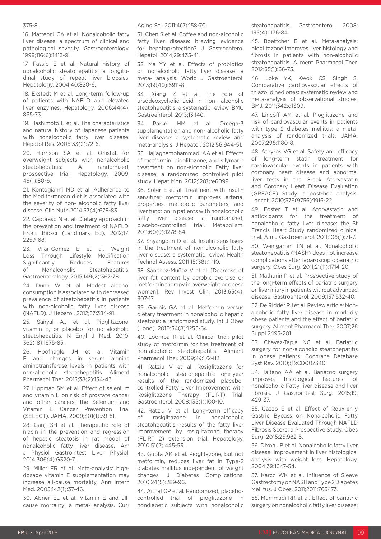#### 375-8.

16. Matteoni CA et al. Nonalcoholic fatty liver disease: a spectrum of clinical and pathological severity. Gastroenterology. 1999;116(6):1413-9.

17. Fassio E et al. Natural history of nonalcoholic steatohepatitis: a longitudinal study of repeat liver biopsies. Hepatology. 2004;40:820-6.

18. Ekstedt M et al. Long-term follow-up of patients with NAFLD and elevated liver enzymes. Hepatology. 2006;44(4): 865-73.

19. Hashimoto E et al. The characteristics and natural history of Japanese patients with nonalcoholic fatty liver disease. Hepatol Res. 2005;33(2):72-6.

20. Harrison SA et al. Orlistat for overweight subjects with nonalcoholic steatohepatitis: A randomized, prospective trial. Hepatology. 2009; 49(1):80-6.

21. Kontogianni MD et al. Adherence to the Mediterranean diet is associated with the severity of non- alcoholic fatty liver disease. Clin Nutr. 2014;33(4):678-83.

22. Caporaso N et al. Dietary approach in the prevention and treatment of NAFLD. Front Biosci (Landmark Ed). 2012;17: 2259-68.

23. Vilar-Gomez E et al. Weight Loss Through Lifestyle Modification Significantly Reduces Features of Nonalcoholic Steatohepatitis. Gastroenterology. 2015;149(2):367-78.

24. Dunn W et al. Modest alcohol consumption is associated with decreased prevalence of steatohepatitis in patients with non-alcoholic fatty liver disease (NAFLD). J Hepatol. 2012;57:384-91.

25. Sanyal AJ et al. Pioglitazone, vitamin E, or placebo for nonalcoholic steatohepatitis. N Engl J Med. 2010; 362(18):1675-85.

26. Hoofnagle JH et al. Vitamin E and changes in serum alanine aminotransferase levels in patients with non-alcoholic steatohepatitis. Aliment Pharmacol Ther. 2013;38(2):134-43.

27. Lippman SM et al. Effect of selenium and vitamin E on risk of prostate cancer and other cancers: the Selenium and Vitamin E Cancer Prevention Trial (SELECT). JAMA. 2009;301(1):39-51.

28. Ganii SH et al. Therapeutic role of niacin in the prevention and regression of hepatic steatosis in rat model of nonalcoholic fatty liver disease. Am J Physiol Gastrointest Liver Physiol. 2014;306(4):G320-7.

29. Miller ER et al. Meta-analysis: highdosage vitamin E supplementation may increase all-cause mortality. Ann Intern Med. 2005;142(1):37-46.

30. Abner EL et al. Vitamin E and allcause mortality: a meta- analysis. Curr

#### Aging Sci. 2011;4(2):158-70.

31. Chen S et al. Coffee and non-alcoholic fatty liver disease: brewing evidence for hepatoprotection? J Gastroenterol Hepatol. 2014;29:435-41.

32. Ma YY et al. Effects of probiotics on nonalcoholic fatty liver disease: a meta- analysis. World J Gastroenterol. 2013;19(40):6911-8.

33. Xiang Z et al. The role of ursodeoxycholic acid in non- alcoholic steatohepatitis: a systematic review. BMC Gastroenterol. 2013;13:140.

34. Parker HM et al. Omega-3 supplementation and non- alcoholic fatty liver disease: a systematic review and meta-analysis. J Hepatol. 2012;56:944-51.

35. Hajiaghamohammadi AA et al. Effects of metformin, pioglitazone, and silymarin treatment on non-alcoholic Fatty liver disease: a randomized controlled pilot study. Hepat Mon. 2012;12(8):e6099.

36. Sofer E et al. Treatment with insulin sensitizer metformin improves arterial properties, metabolic parameters, and liver function in patients with nonalcoholic fatty liver disease: a randomized, placebo-controlled trial. Metabolism. 2011;60(9):1278-84.

37. Shyangdan D et al. Insulin sensitisers in the treatment of non-alcoholic fatty liver disease: a systematic review. Health Technol Assess. 2011;15(38):1-110.

38. Sánchez-Muñoz V et al. [Decrease of liver fat content by aerobic exercise or metformin therapy in overweight or obese women]. Rev Invest Clin. 2013;65(4): 307-17.

39. Garinis GA et al. Metformin versus dietary treatment in nonalcoholic hepatic steatosis: a randomized study. Int J Obes (Lond). 2010;34(8):1255-64.

40. Loomba R et al. Clinical trial: pilot study of metformin for the treatment of non-alcoholic steatohepatitis. Aliment Pharmacol Ther. 2009;29:172-82.

41. Ratziu V et al. Rosiglitazone for nonalcoholic steatohepatitis: one-year results of the randomized placebocontrolled Fatty Liver Improvement with Rosiglitazone Therapy (FLIRT) Trial. Gastroenterol. 2008;135(1):100-10.

42. Ratziu V et al. Long-term efficacy of rosiglitazone in nonalcoholic steatohepatitis: results of the fatty liver improvement by rosiglitazone therapy (FLIRT 2) extension trial. Hepatology. 2010;51(2):445-53.

43. Gupta AK et al. Pioglitazone, but not metformin, reduces liver fat in Type-2 diabetes mellitus independent of weight changes. J Diabetes Complications. 2010;24(5):289-96.

44. Aithal GP et al. Randomized, placebocontrolled trial of pioglitazone in nondiabetic subjects with nonalcoholic

steatohepatitis. Gastroenterol. 2008; 135(4):1176-84.

45. Boettcher E et al. Meta-analysis: pioglitazone improves liver histology and fibrosis in patients with non-alcoholic steatohepatitis. Aliment Pharmacol Ther. 2012;35(1):66-75.

46. Loke YK, Kwok CS, Singh S. Comparative cardiovascular effects of thiazolidinediones: systematic review and meta-analysis of observational studies. BMJ. 2011;342:d1309.

47. Lincoff AM et al. Pioglitazone and risk of cardiovascular events in patients with type 2 diabetes mellitus: a metaanalysis of randomized trials. JAMA. 2007;298:1180-8.

48. Athyros VG et al. Safety and efficacy of long-term statin treatment for cardiovascular events in patients with coronary heart disease and abnormal liver tests in the Greek Atorvastatin and Coronary Heart Disease Evaluation (GREACE) Study: a post-hoc analysis. Lancet. 2010;376(9756):1916-22.

49. Foster T et al. Atorvastatin and antioxidants for the treatment of nonalcoholic fatty liver disease: the St Francis Heart Study randomized clinical trial. Am J Gastroenterol. 2011;106(1):71-7.

50. Weingarten TN et al. Nonalcoholic steatohepatitis (NASH) does not increase complications after laparoscopic bariatric surgery. Obes Surg. 2011;21(11):1714-20.

51. Mathurin P et al. Prospective study of the long-term effects of bariatric surgery on liver injury in patients without advanced disease. Gastroenterol. 2009;137:532-40.

52. De Ridder RJ et al. Review article: Nonalcoholic fatty liver disease in morbidly obese patients and the effect of bariatric surgery. Aliment Pharmacol Ther. 2007;26 Suppl 2:195-201.

53. Chavez-Tapia NC et al. Bariatric surgery for non-alcoholic steatohepatitis in obese patients. Cochrane Database Syst Rev. 2010;(1):CD007340.

54. Taitano AA et al. Bariatric surgery improves histological features of nonalcoholic Fatty liver disease and liver fibrosis. J Gastrointest Surg. 2015;19: 429-37.

55. Cazzo E et al. Effect of Roux-en-y Gastric Bypass on Nonalcoholic Fatty Liver Disease Evaluated Through NAFLD Fibrosis Score: a Prospective Study. Obes Surg. 2015;25:982-5.

56. Dixon JB et al. Nonalcoholic fatty liver disease: Improvement in liver histological analysis with weight loss. Hepatology. 2004;39:1647-54.

57. Karcz WK et al. Influence of Sleeve Gastrectomy on NASH and Type 2 Diabetes Mellitus. J Obes. 2011;2011:765473.

58. Mummadi RR et al. Effect of bariatric surgery on nonalcoholic fatty liver disease: